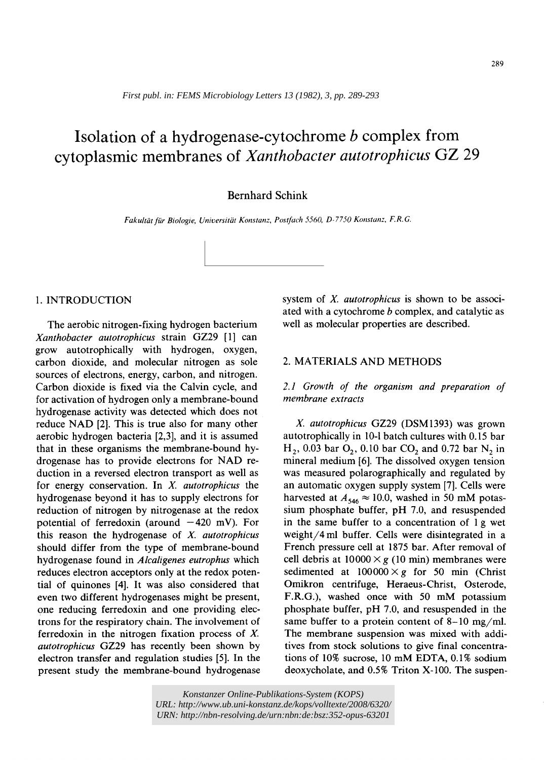*First publ. in: [FEMS Microbiology Letters 13 \(1982\), 3, pp. 289-293](http://www.sciencedirect.com/science/journal/03781097)*

# **Isolation of a hydrogenase-cytochrome b complex from cytoplasmic membranes of** *Xanthobacter autotrophicus* **GZ 29**

# Bernhard Schink

Fakultät für Biologie, Universität Konstanz, Postfach 5560, D-7750 Konstanz, F.R.G.

## 1. INTRODUCTION

The aerobic nitrogen-fixing hydrogen bacterium *Xanthobacter autotrophicus* strain GZ29 [1] can grow autotrophically with hydrogen, oxygen, carbon dioxide, and molecular nitrogen as sole sources of electrons, energy, carbon, and nitrogen. Carbon dioxide is fixed via the Calvin cycle, and for activation of hydrogen only a membrane-bound hydrogenase activity was detected which does not reduce NAD [2]. This is true also for many other aerobic hydrogen bacteria [2,3], and it is assumed that in these organisms the membrane-bound hydrogenase has to provide electrons for NAD reduction in a reversed electron transport as well as for energy conservation. In *X. autotrophicus* the hydrogenase beyond it has to supply electrons for reduction of nitrogen by nitrogenase at the redox potential of ferredoxin (around  $-420$  mV). For this reason the hydrogenase of *X. autotrophicus*  should differ from the type of membrane-bound hydrogenase found in *Alcaligenes eutrophus* which reduces electron acceptors only at the redox potential of quinones [4]. It was also considered that even two different hydrogenases might be present, one reducing ferredoxin and one providing electrons for the respiratory chain. The involvement of ferredoxin in the nitrogen fixation process of X. *autotrophicus* GZ29 has recently been shown by electron transfer and regulation studies [5]. In the present study the membrane-bound hydrogenase system of *S. autotrophicus* is shown to be associated with a cytochrome b complex, and catalytic as well as molecular properties are described.

# 2. MATERIALS AND METHODS

# *2.1 Growth of the organism and preparation of membrane extracts*

*X. autotrophicus* GZ29 (DSM1393) was grown autotrophically in 10-1 batch cultures with 0.15 bar  $H_2$ , 0.03 bar  $O_2$ , 0.10 bar  $CO_2$  and 0.72 bar N<sub>2</sub> in mineral medium [6]. The dissolved oxygen tension was measured polarographically and regulated by an automatic oxygen supply system [7]. Cells were harvested at  $A_{546} \approx 10.0$ , washed in 50 mM potassium phosphate buffer, pH 7.0, and resuspended in the same buffer to a concentration of 1 g wet weight/4 ml buffer. Cells were disintegrated in a French pressure cell at 1875 bar. After removal of cell debris at  $10000 \times g$  (10 min) membranes were sedimented at  $100000 \times g$  for 50 min (Christ Omikron centrifuge, Heraeus-Christ, Osterode, F.R.G.), washed once with 50 mM potassium phosphate buffer, pH 7.0, and resuspended in the same buffer to a protein content of  $8-10$  mg/ml. The membrane suspension was mixed with additives from stock solutions to give final concentrations of 10% sucrose, 10 mM EDTA, 0.1% sodium deoxycholate, and 0.5% Triton X-100. The suspen-

*Konstanzer Online-Publikations-System (KOPS) URL[: http://www.ub.uni-konstanz.de/kops/volltexte/2008/6320/](http://www.ub.uni-konstanz.de/kops/volltexte/2008/6320/)  URN:<http://nbn-resolving.de/urn:nbn:de:bsz:352-opus-63201>*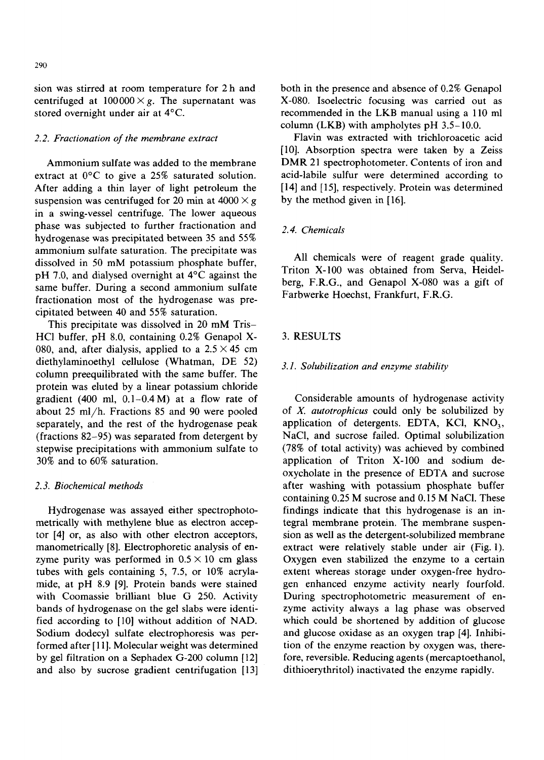sion was stirred at room temperature for 2 h and centrifuged at  $100000 \times g$ . The supernatant was stored overnight under air at 4°C.

## *2.2. Fractionation of the membrane extract*

Ammonium sulfate was added to the membrane extract at 0°C to give a 25% saturated solution. After adding a thin layer of light petroleum the suspension was centrifuged for 20 min at  $4000 \times g$ in a swing-vessel centrifuge. The lower aqueous phase was subjected to further fractionation and hydrogenase was precipitated between 35 and 55% ammonium sulfate saturation. The precipitate was dissolved in 50 mM potassium phosphate buffer, pH 7.0, and dialysed overnight at 4°C against the same buffer. During a second ammonium sulfate fractionation most of the hydrogenase was precipitated between 40 and 55% saturation.

This precipitate was dissolved in 20 mM Tris-HC1 buffer, pH 8.0, containing 0.2% Genapol X-080, and, after dialysis, applied to a  $2.5 \times 45$  cm diethylaminoethyl cellulose (Whatman, DE 52) column preequilibrated with the same buffer. The protein was eluted by a linear potassium chloride gradient (400 ml,  $0.1-0.4$  M) at a flow rate of about 25 ml/h. Fractions 85 and 90 were pooled separately, and the rest of the hydrogenase peak (fractions 82-95) was separated from detergent by stepwise precipitations with ammonium sulfate to 30% and to 60% saturation.

#### *2.3. Biochemical methods*

Hydrogenase was assayed either spectrophotometrically with methylene blue as electron acceptor [4] or, as also with other electron acceptors, manometrically [8]. Electrophoretic analysis of enzyme purity was performed in  $0.5 \times 10$  cm glass tubes with gels containing 5, 7.5, or 10% acrylamide, at pH 8.9 [9]. Protein bands were stained with Coomassie brilliant blue G 250. Activity bands of hydrogenase on the gel slabs were identified according to [10] without addition of NAD. Sodium dodecyl sulfate electrophoresis was performed after [11]. Molecular weight was determined by gel filtration on a Sephadex G-200 column [12] and also by sucrose gradient centrifugation [13]

both in the presence and absence of 0.2% Genapol X-080. Isoelectric focusing was carried out as recommended in the LKB manual using a 110 ml column (LKB) with ampholytes pH 3.5-10.0.

Flavin was extracted with trichloroacetic acid [10]. Absorption spectra were taken by a Zeiss DMR 21 spectrophotometer. Contents of iron and acid-labile sulfur were determined according to [14] and [15], respectively. Protein was determined by the method given in [16].

### *2.4. Chemicals*

All chemicals were of reagent grade quality. Triton X-100 was obtained from Serva, Heidelberg, F.R.G., and Genapol X-080 was a gift of Farbwerke Hoechst, Frankfurt, F.R.G.

#### 3. RESULTS

#### *3.1. Solubilization and enzyme stability*

Considerable amounts of hydrogenase activity of X. *autotrophicus* could only be solubilized by application of detergents. EDTA, KCl,  $KNO<sub>3</sub>$ , NaC1, and sucrose failed. Optimal solubilization (78% of total activity) was achieved by combined application of Triton X-100 and sodium deoxycholate in the presence of EDTA and sucrose after washing with potassium phosphate buffer containing 0.25 M sucrose and 0.15 M NaCI. These findings indicate that this hydrogenase is an integral membrane protein. The membrane suspension as well as the detergent-solubilized membrane extract were relatively stable under air (Fig. 1). Oxygen even stabilized the enzyme to a certain extent whereas storage under oxygen-free hydrogen enhanced enzyme activity nearly fourfold. During spectrophotometric measurement of enzyme activity always a lag phase was observed which could be shortened by addition of glucose and glucose oxidase as an oxygen trap [4]. Inhibition of the enzyme reaction by oxygen was, therefore, reversible. Reducing agents (mercaptoethanol, dithioerythritol) inactivated the enzyme rapidly.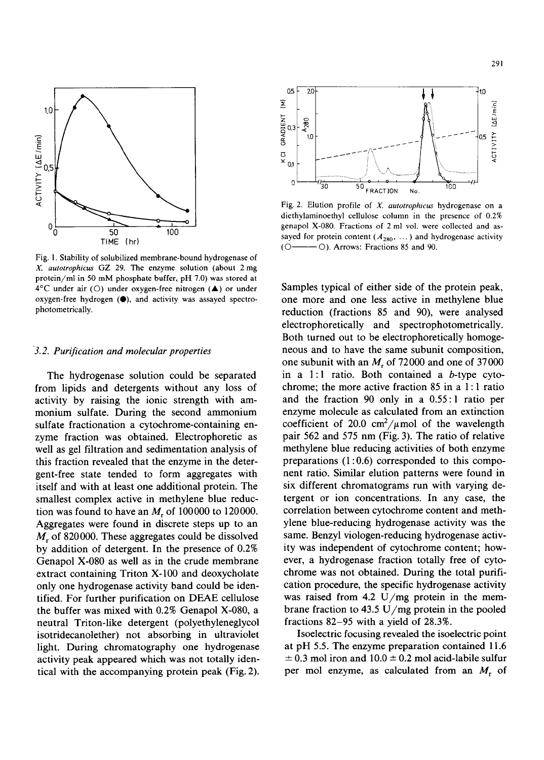

Fig. I. Stability of solubilized membrane-bound hydrogenase of *X. autotrophicus GZ* 29. The enzyme solution (about 2 mg protein/ml in 50 mM phosphate buffer, pH 7.0) was stored at  $4^{\circ}$ C under air (O) under oxygen-free nitrogen ( $\triangle$ ) or under oxygen-free hydrogen (0), and activity was assayed spectrophotometrically.

#### *3.2. Purification and molecular properties*

The hydrogenase solution could be separated from lipids and detergents without any loss of activity by raising the ionic strength with ammonium sulfate. During the second ammonium sulfate fractionation a cytochrome-containing enzyme fraction was obtained. Electrophoretic as well as gel filtration and sedimentation analysis of this fraction revealed that the enzyme in the detergent-free state tended to form aggregates with itself and with at least one additional protein. The smallest complex active in methylene blue reduction was found to have an  $M_r$  of 100000 to 120000. Aggregates were found in discrete steps up to an  $M_r$  of 820000. These aggregates could be dissolved by addition of detergent. In the presence of 0.2% Genapol X-080 as well as in the crude membrane extract containing Triton X-100 and deoxycholate only one hydrogenase activity band could be identified. For further purification on DEAE cellulose the buffer was mixed with 0.2% Genapol X-080, a neutral Triton-like detergent (polyethyleneglycol isotridecanolether) not absorbing in ultraviolet light. During chromatography one hydrogenase activity peak appeared which was not totally identical with the accompanying protein peak (Fig. 2).



Fig. 2. Elution profile of *3(. autotrophicus* hydrogenase on a diethylaminoethyl cellulose column in the presence of 0.2% genapol X-080. Fractions of 2 ml vol. were collected and assayed for protein content ( $A_{280}$ , ...) and hydrogenase activity  $(O \rightarrow O)$ . Arrows: Fractions 85 and 90.

Samples typical of either side of the protein peak, one more and one less active in methylene blue reduction (fractions 85 and 90), were analysed electrophoretically and spectrophotometrically. Both turned out to be electrophoretically homogeneous and to have the same subunit composition, one subunit with an  $M_r$  of 72000 and one of 37000 in a 1:1 ratio. Both contained a b-type cytochrome; the more active fraction 85 in a 1 : 1 ratio and the fraction 90 only in a 0.55:1 ratio per enzyme molecule as calculated from an extinction coefficient of 20.0 cm<sup>2</sup>/ $\mu$ mol of the wavelength pair 562 and 575 nm (Fig. 3). The ratio of relative methylene blue reducing activities of both enzyme preparations (1:0.6) corresponded to this component ratio. Similar elution patterns were found in six different chromatograms run with varying detergent or ion concentrations. In any case, the correlation between cytochrome content and methylene blue-reducing hydrogenase activity was the same. Benzyl viologen-reducing hydrogenase activity was independent of cytochrome content; however, a hydrogenase fraction totally free of cytochrome was not obtained. During the total purification procedure, the specific hydrogenase activity was raised from 4.2  $U/mg$  protein in the membrane fraction to 43.5 U/mg protein in the pooled fractions 82-95 with a yield of 28.3%.

Isoelectric focusing revealed the isoelectric point at pH 5.5. The enzyme preparation contained 11.6  $\pm$  0.3 mol iron and 10.0  $\pm$  0.2 mol acid-labile sulfur per mol enzyme, as calculated from an  $M_r$  of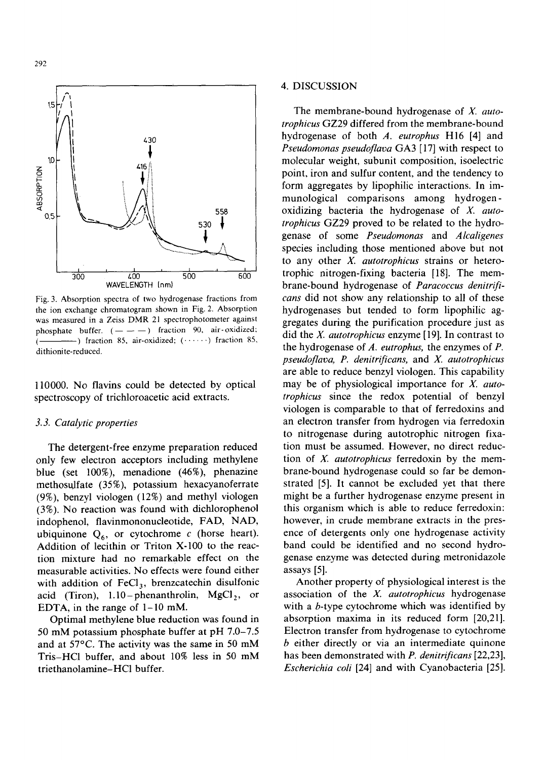

Fig. 3. Absorption spectra of two hydrogenase fractions from the ion exchange chromatogram shown in Fig. 2. Absorption was measured in a Zeiss DMR 21 spectrophotometer against phosphate buffer.  $(- - -)$  fraction 90, air-oxidized;  $(\frac{1}{\sqrt{1-\frac{1}{\sqrt{1-\frac{1}{\sqrt{1-\frac{1}{\sqrt{1-\frac{1}{\sqrt{1-\frac{1}{\sqrt{1-\frac{1}{\sqrt{1-\frac{1}{\sqrt{1-\frac{1}{\sqrt{1-\frac{1}{\sqrt{1-\frac{1}{\sqrt{1-\frac{1}{\sqrt{1-\frac{1}{\sqrt{1-\frac{1}{\sqrt{1-\frac{1}{\sqrt{1-\frac{1}{\sqrt{1-\frac{1}{\sqrt{1-\frac{1}{\sqrt{1-\frac{1}{\sqrt{1-\frac{1}{\sqrt{1-\frac{1}{\sqrt{1-\frac{1}{\sqrt{1-\frac{1}{\sqrt{1-\frac{1}{\sqrt{1-\frac{1$ dithionite-reduced.

110000. No flavins could be detected by optical spectroscopy of trichloroacetic acid extracts.

#### *3.3. Catalytic properties*

The detergent-free enzyme preparation reduced only few electron acceptors including methylene blue (set 100%), menadione (46%), phenazine methosuJfate (35%), potassium hexacyanoferrate (9%), benzyl viologen (12%) and methyl viologen (3%). No reaction was found with dichlorophenol indophenol, flavinmononucleotide, FAD, NAD, ubiquinone  $Q_6$ , or cytochrome c (horse heart). Addition of lecithin or Triton X-100 to the reaction mixture had no remarkable effect on the measurable activities. No effects were found either with addition of  $FeCl<sub>3</sub>$ , brenzcatechin disulfonic acid (Tiron),  $1.10$ -phenanthrolin, MgCl<sub>2</sub>, or EDTA, in the range of 1-10 mM.

Optimal methylene blue reduction was found in 50 mM potassium phosphate buffer at pH 7.0-7.5 and at 57°C. The activity was the same in 50 mM Tris-HC1 buffer, and about 10% less in 50 mM triethanolamine-HC1 buffer.

#### 4. DISCUSSION

The membrane-bound hydrogenase of *X. autotrophicus* GZ29 differed from the membrane-bound hydrogenase of both *A. eutrophus* H16 [4] and *Pseudomonas pseudoflava* GA3 [17] with respect to molecular weight, subunit composition, isoelectric point, iron and sulfur content, and the tendency to form aggregates by lipophilic interactions. In immunological comparisons among hydrogenoxidizing bacteria the hydrogenase of *X. autotrophicus* GZ29 proved to be related to the hydrogenase of some *Pseudomonas* and *Alcaligenes*  species including those mentioned above but not to any other X. *autotrophicus* strains or heterotrophic nitrogen-fixing bacteria [18]. The membrane-bound hydrogenase of *Paracoccus denitrificans* did not show any relationship to all of these hydrogenases but tended to form lipophilic aggregates during the purification procedure just as did the X. *autotrophicus* enzyme [19]. In contrast to the hydrogenase of *A. eutrophus,* the enzymes of P. *pseudoflava, P. denitrificans,* and *X. autotrophicus*  are able to reduce benzyl viologen. This capability may be of physiological importance for *X. autotrophicus* since the redox potential of benzyl viologen is comparable to that of ferredoxins and an electron transfer from hydrogen via ferredoxin to nitrogenase during autotrophic nitrogen fixation must be assumed. However, no direct reduction of X. *autotrophicus* ferredoxin by the membrane-bound hydrogenase could so far be demonstrated [5]. It cannot be excluded yet that there might be a further hydrogenase enzyme present in this organism which is able to reduce ferredoxin: however, in crude membrane extracts in the presence of detergents only one hydrogenase activity band could be identified and no second hydrogenase enzyme was detected during metronidazole assays [5].

Another property of physiological interest is the association of the *X. autotrophicus* hydrogenase with a b-type cytochrome which was identified by absorption maxima in its reduced form [20,21]. Electron transfer from hydrogenase to cytochrome b either directly or via an intermediate quinone has been demonstrated with *P. denitrificans* [22,23], *Escherichia coli* [24] and with Cyanobacteria [25].